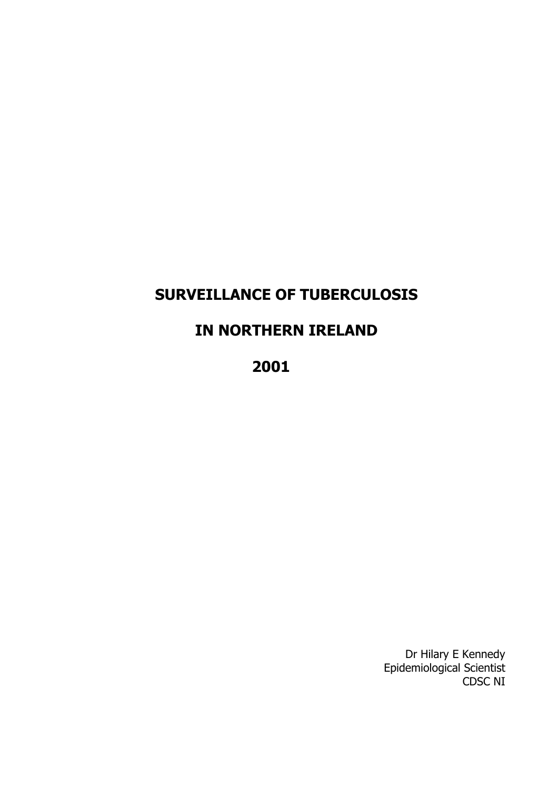# **SURVEILLANCE OF TUBERCULOSIS**

# **IN NORTHERN IRELAND**

 **2001**

Dr Hilary E Kennedy Epidemiological Scientist CDSC NI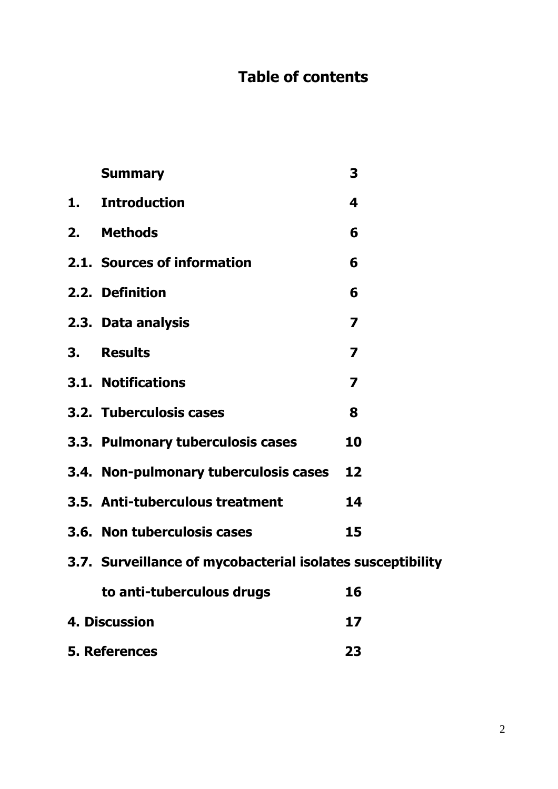# **Table of contents**

|    | <b>Summary</b>                                             | 3                       |
|----|------------------------------------------------------------|-------------------------|
|    | <b>Introduction</b>                                        | 4                       |
| 2. | <b>Methods</b>                                             | 6                       |
|    | 2.1. Sources of information                                | 6                       |
|    | 2.2. Definition                                            | 6                       |
|    | 2.3. Data analysis                                         | $\overline{\mathbf{z}}$ |
| 3. | <b>Results</b>                                             | 7                       |
|    | <b>3.1. Notifications</b>                                  | $\overline{\mathbf{z}}$ |
|    | 3.2. Tuberculosis cases                                    | 8                       |
|    | 3.3. Pulmonary tuberculosis cases                          | 10                      |
|    | 3.4. Non-pulmonary tuberculosis cases                      | 12                      |
|    | 3.5. Anti-tuberculous treatment                            | 14                      |
|    | 3.6. Non tuberculosis cases                                | 15                      |
|    | 3.7. Surveillance of mycobacterial isolates susceptibility |                         |
|    | to anti-tuberculous drugs                                  | 16                      |
|    | <b>4. Discussion</b>                                       | 17                      |
|    | <b>5. References</b>                                       | 23                      |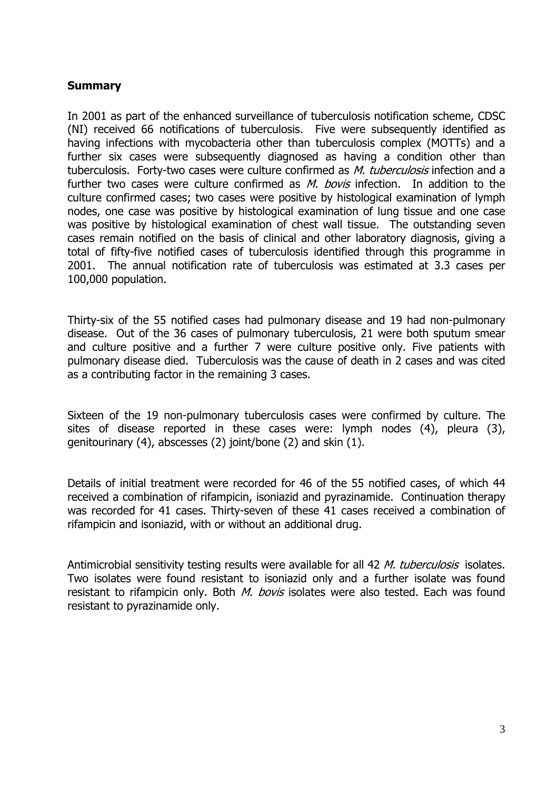## **Summary**

In 2001 as part of the enhanced surveillance of tuberculosis notification scheme, CDSC (NI) received 66 notifications of tuberculosis. Five were subsequently identified as having infections with mycobacteria other than tuberculosis complex (MOTTs) and a further six cases were subsequently diagnosed as having a condition other than tuberculosis. Forty-two cases were culture confirmed as *M. tuberculosis* infection and a further two cases were culture confirmed as  $M$ , bovis infection. In addition to the culture confirmed cases; two cases were positive by histological examination of lymph nodes, one case was positive by histological examination of lung tissue and one case was positive by histological examination of chest wall tissue. The outstanding seven cases remain notified on the basis of clinical and other laboratory diagnosis, giving a total of fifty-five notified cases of tuberculosis identified through this programme in 2001. The annual notification rate of tuberculosis was estimated at 3.3 cases per 100,000 population.

Thirty-six of the 55 notified cases had pulmonary disease and 19 had non-pulmonary disease.Out of the 36 cases of pulmonary tuberculosis, 21 were both sputum smear and culture positive and a further 7 were culture positive only. Five patients with pulmonary disease died. Tuberculosis was the cause of death in 2 cases and was cited as a contributing factor in the remaining 3 cases.

Sixteen of the 19 non-pulmonary tuberculosis cases were confirmed by culture. The sites of disease reported in these cases were: lymph nodes (4), pleura (3), genitourinary (4), abscesses (2) joint/bone (2) and skin (1).

Details of initial treatment were recorded for 46 of the 55 notified cases, of which 44 received a combination of rifampicin, isoniazid and pyrazinamide. Continuation therapy was recorded for 41 cases. Thirty-seven of these 41 cases received a combination of rifampicin and isoniazid, with or without an additional drug.

Antimicrobial sensitivity testing results were available for all 42 M. tuberculosis isolates. Two isolates were found resistant to isoniazid only and a further isolate was found resistant to rifampicin only. Both *M. bovis* isolates were also tested. Each was found resistant to pyrazinamide only.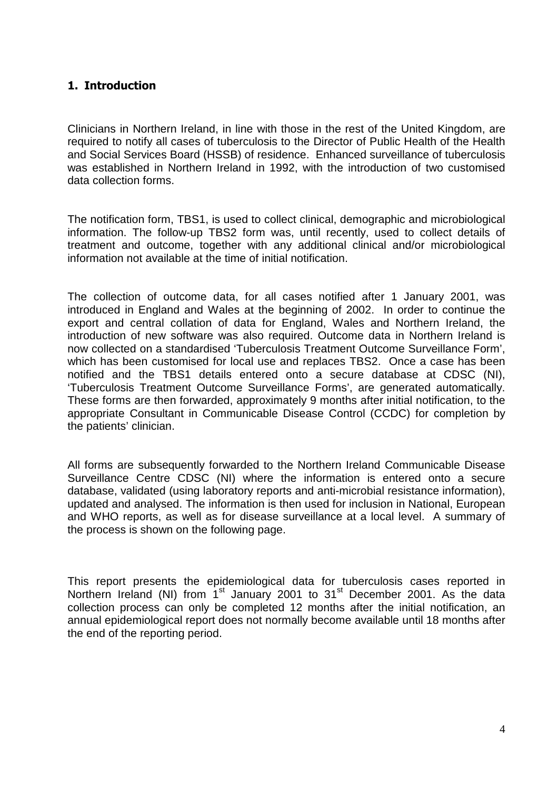## **1. Introduction**

Clinicians in Northern Ireland, in line with those in the rest of the United Kingdom, are required to notify all cases of tuberculosis to the Director of Public Health of the Health and Social Services Board (HSSB) of residence. Enhanced surveillance of tuberculosis was established in Northern Ireland in 1992, with the introduction of two customised data collection forms.

The notification form, TBS1, is used to collect clinical, demographic and microbiological information. The follow-up TBS2 form was, until recently, used to collect details of treatment and outcome, together with any additional clinical and/or microbiological information not available at the time of initial notification.

The collection of outcome data, for all cases notified after 1 January 2001, was introduced in England and Wales at the beginning of 2002. In order to continue the export and central collation of data for England, Wales and Northern Ireland, the introduction of new software was also required. Outcome data in Northern Ireland is now collected on a standardised 'Tuberculosis Treatment Outcome Surveillance Form', which has been customised for local use and replaces TBS2. Once a case has been notified and the TBS1 details entered onto a secure database at CDSC (NI), 'Tuberculosis Treatment Outcome Surveillance Forms', are generated automatically. These forms are then forwarded, approximately 9 months after initial notification, to the appropriate Consultant in Communicable Disease Control (CCDC) for completion by the patients' clinician.

All forms are subsequently forwarded to the Northern Ireland Communicable Disease Surveillance Centre CDSC (NI) where the information is entered onto a secure database, validated (using laboratory reports and anti-microbial resistance information), updated and analysed. The information is then used for inclusion in National, European and WHO reports, as well as for disease surveillance at a local level. A summary of the process is shown on the following page.

This report presents the epidemiological data for tuberculosis cases reported in Northern Ireland (NI) from 1<sup>st</sup> January 2001 to 31<sup>st</sup> December 2001. As the data collection process can only be completed 12 months after the initial notification, an annual epidemiological report does not normally become available until 18 months after the end of the reporting period.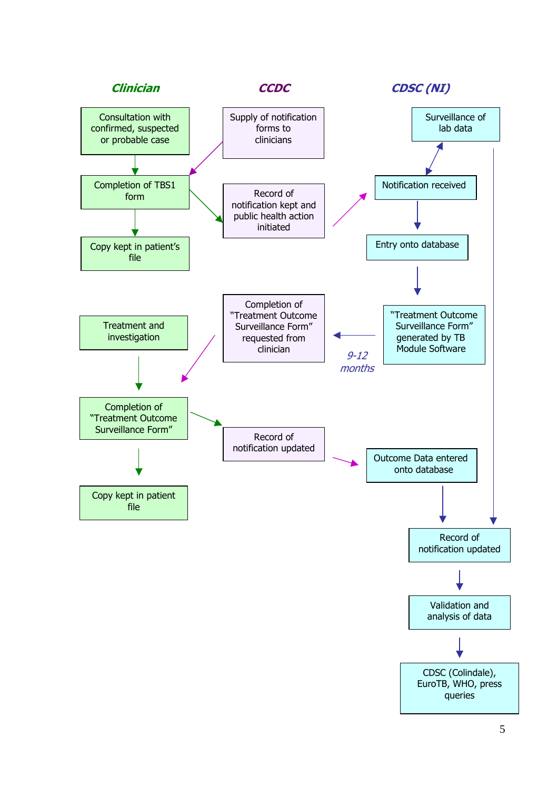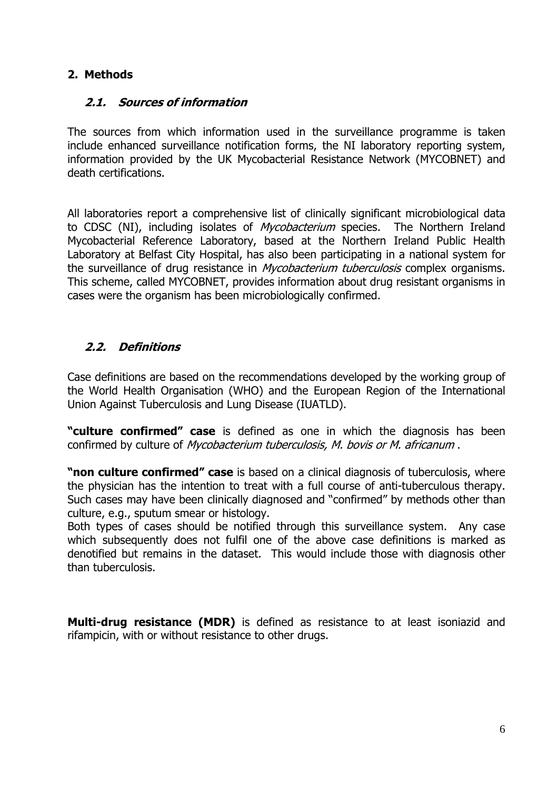## **2. Methods**

## **2.1. Sources of information**

The sources from which information used in the surveillance programme is taken include enhanced surveillance notification forms, the NI laboratory reporting system, information provided by the UK Mycobacterial Resistance Network (MYCOBNET) and death certifications.

All laboratories report a comprehensive list of clinically significant microbiological data to CDSC (NI), including isolates of Mycobacterium species. The Northern Ireland Mycobacterial Reference Laboratory, based at the Northern Ireland Public Health Laboratory at Belfast City Hospital, has also been participating in a national system for the surveillance of drug resistance in *Mycobacterium tuberculosis* complex organisms. This scheme, called MYCOBNET, provides information about drug resistant organisms in cases were the organism has been microbiologically confirmed.

## **2.2. Definitions**

Case definitions are based on the recommendations developed by the working group of the World Health Organisation (WHO) and the European Region of the International Union Against Tuberculosis and Lung Disease (IUATLD).

**"culture confirmed" case** is defined as one in which the diagnosis has been confirmed by culture of Mycobacterium tuberculosis, M. bovis or M. africanum .

**"non culture confirmed" case** is based on a clinical diagnosis of tuberculosis, where the physician has the intention to treat with a full course of anti-tuberculous therapy. Such cases may have been clinically diagnosed and "confirmed" by methods other than culture, e.g., sputum smear or histology.

Both types of cases should be notified through this surveillance system. Any case which subsequently does not fulfil one of the above case definitions is marked as denotified but remains in the dataset. This would include those with diagnosis other than tuberculosis.

**Multi-drug resistance (MDR)** is defined as resistance to at least isoniazid and rifampicin, with or without resistance to other drugs.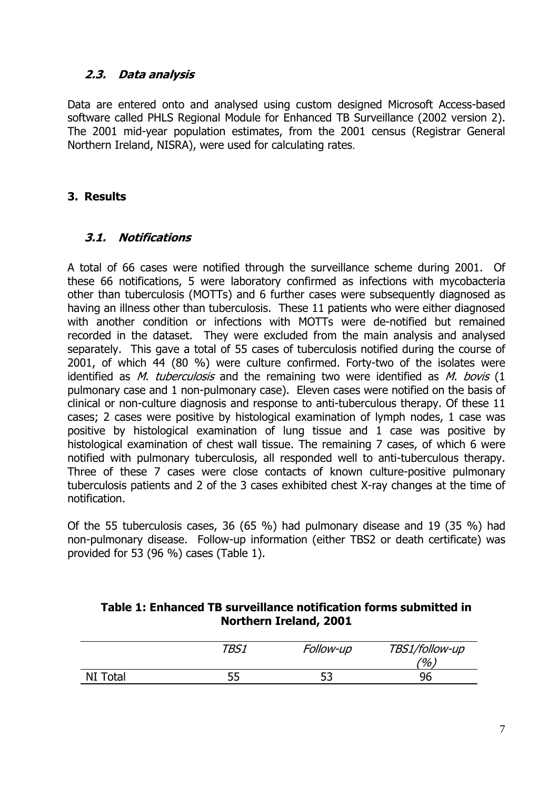## **2.3. Data analysis**

Data are entered onto and analysed using custom designed Microsoft Access-based software called PHLS Regional Module for Enhanced TB Surveillance (2002 version 2). The 2001 mid-year population estimates, from the 2001 census (Registrar General Northern Ireland, NISRA), were used for calculating rates.

## **3. Results**

## **3.1. Notifications**

A total of 66 cases were notified through the surveillance scheme during 2001. Of these 66 notifications, 5 were laboratory confirmed as infections with mycobacteria other than tuberculosis (MOTTs) and 6 further cases were subsequently diagnosed as having an illness other than tuberculosis. These 11 patients who were either diagnosed with another condition or infections with MOTTs were de-notified but remained recorded in the dataset. They were excluded from the main analysis and analysed separately. This gave a total of 55 cases of tuberculosis notified during the course of 2001, of which 44 (80 %) were culture confirmed. Forty-two of the isolates were identified as M. tuberculosis and the remaining two were identified as M. bovis  $(1)$ pulmonary case and 1 non-pulmonary case). Eleven cases were notified on the basis of clinical or non-culture diagnosis and response to anti-tuberculous therapy. Of these 11 cases; 2 cases were positive by histological examination of lymph nodes, 1 case was positive by histological examination of lung tissue and 1 case was positive by histological examination of chest wall tissue. The remaining 7 cases, of which 6 were notified with pulmonary tuberculosis, all responded well to anti-tuberculous therapy. Three of these 7 cases were close contacts of known culture-positive pulmonary tuberculosis patients and 2 of the 3 cases exhibited chest X-ray changes at the time of notification.

Of the 55 tuberculosis cases, 36 (65 %) had pulmonary disease and 19 (35 %) had non-pulmonary disease. Follow-up information (either TBS2 or death certificate) was provided for 53 (96 %) cases (Table 1).

## **Table 1: Enhanced TB surveillance notification forms submitted in Northern Ireland, 2001**

|          | TBS1      | <i>Follow-up</i> | TBS1/follow-up |
|----------|-----------|------------------|----------------|
|          |           |                  | $\frac{70}{6}$ |
| NI Total | cг<br>ں ب | --<br>ັ          | 96             |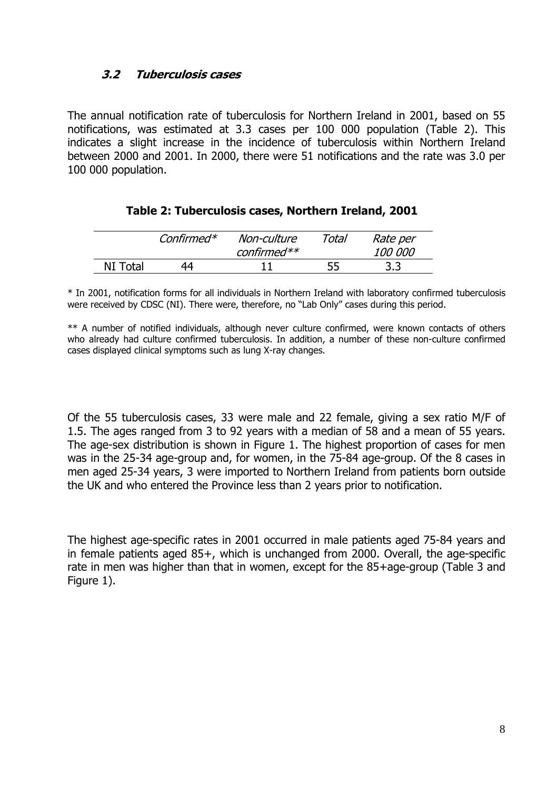## **3.2 Tuberculosis cases**

The annual notification rate of tuberculosis for Northern Ireland in 2001, based on 55 notifications, was estimated at 3.3 cases per 100 000 population (Table 2). This indicates a slight increase in the incidence of tuberculosis within Northern Ireland between 2000 and 2001. In 2000, there were 51 notifications and the rate was 3.0 per 100 000 population.

|          | Confirmed $*$ | Non-culture<br>confirmed $**$ | Total | Rate per<br>100 000 |
|----------|---------------|-------------------------------|-------|---------------------|
| NI Total | 44            |                               | 55    |                     |

#### **Table 2: Tuberculosis cases, Northern Ireland, 2001**

\* In 2001, notification forms for all individuals in Northern Ireland with laboratory confirmed tuberculosis were received by CDSC (NI). There were, therefore, no "Lab Only" cases during this period.

\*\* A number of notified individuals, although never culture confirmed, were known contacts of others who already had culture confirmed tuberculosis. In addition, a number of these non-culture confirmed cases displayed clinical symptoms such as lung X-ray changes.

Of the 55 tuberculosis cases, 33 were male and 22 female, giving a sex ratio M/F of 1.5. The ages ranged from 3 to 92 years with a median of 58 and a mean of 55 years. The age-sex distribution is shown in Figure 1. The highest proportion of cases for men was in the 25-34 age-group and, for women, in the 75-84 age-group. Of the 8 cases in men aged 25-34 years, 3 were imported to Northern Ireland from patients born outside the UK and who entered the Province less than 2 years prior to notification.

The highest age-specific rates in 2001 occurred in male patients aged 75-84 years and in female patients aged 85+, which is unchanged from 2000. Overall, the age-specific rate in men was higher than that in women, except for the 85+age-group (Table 3 and Figure 1).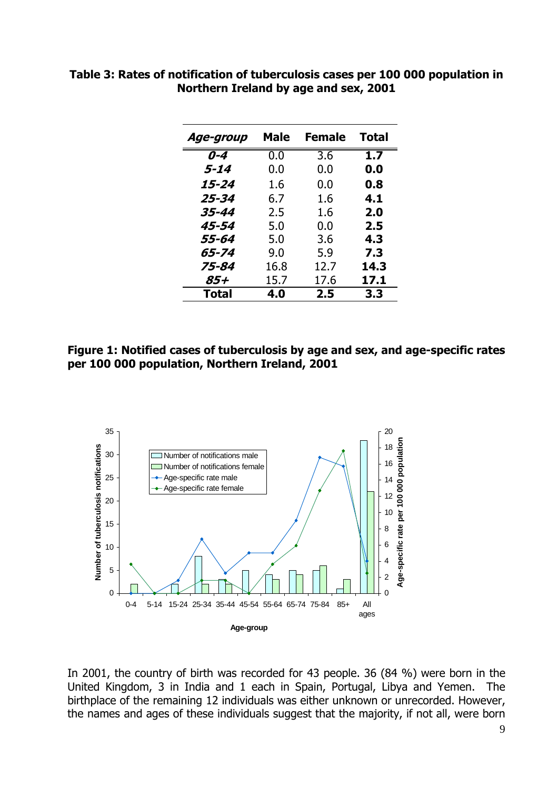| Age-group    | <b>Male</b> | <b>Female</b> | <b>Total</b> |
|--------------|-------------|---------------|--------------|
| $0 - 4$      | 0.0         | 3.6           | 1.7          |
| 5-14         | 0.0         | 0.0           | 0.0          |
| 15-24        | 1.6         | 0.0           | 0.8          |
| 25-34        | 6.7         | 1.6           | 4.1          |
| 35-44        | 2.5         | 1.6           | 2.0          |
| 45-54        | 5.0         | 0.0           | 2.5          |
| 55-64        | 5.0         | 3.6           | 4.3          |
| 65-74        | 9.0         | 5.9           | 7.3          |
| 75-84        | 16.8        | 12.7          | 14.3         |
| 85+          | 15.7        | 17.6          | 17.1         |
| <b>Total</b> | 4.0         | 2.5           | 3.3          |

**Table 3: Rates of notification of tuberculosis cases per 100 000 population in Northern Ireland by age and sex, 2001** 

**Figure 1: Notified cases of tuberculosis by age and sex, and age-specific rates per 100 000 population, Northern Ireland, 2001** 



In 2001, the country of birth was recorded for 43 people. 36 (84 %) were born in the United Kingdom, 3 in India and 1 each in Spain, Portugal, Libya and Yemen. The birthplace of the remaining 12 individuals was either unknown or unrecorded. However, the names and ages of these individuals suggest that the majority, if not all, were born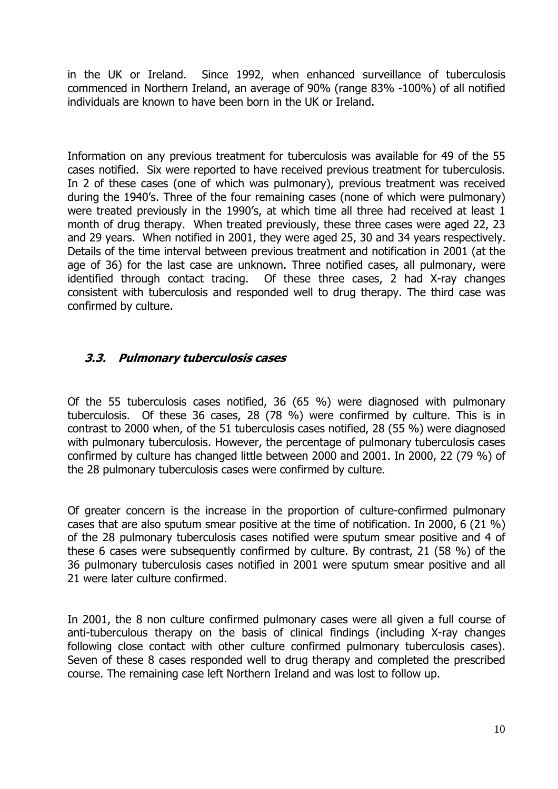in the UK or Ireland.Since 1992, when enhanced surveillance of tuberculosis commenced in Northern Ireland, an average of 90% (range 83% -100%) of all notified individuals are known to have been born in the UK or Ireland.

Information on any previous treatment for tuberculosis was available for 49 of the 55 cases notified. Six were reported to have received previous treatment for tuberculosis. In 2 of these cases (one of which was pulmonary), previous treatment was received during the 1940's. Three of the four remaining cases (none of which were pulmonary) were treated previously in the 1990's, at which time all three had received at least 1 month of drug therapy. When treated previously, these three cases were aged 22, 23 and 29 years. When notified in 2001, they were aged 25, 30 and 34 years respectively. Details of the time interval between previous treatment and notification in 2001 (at the age of 36) for the last case are unknown. Three notified cases, all pulmonary, were identified through contact tracing. Of these three cases, 2 had X-ray changes consistent with tuberculosis and responded well to drug therapy. The third case was confirmed by culture.

## **3.3. Pulmonary tuberculosis cases**

Of the 55 tuberculosis cases notified, 36 (65 %) were diagnosed with pulmonary tuberculosis. Of these 36 cases, 28 (78 %) were confirmed by culture. This is in contrast to 2000 when, of the 51 tuberculosis cases notified, 28 (55 %) were diagnosed with pulmonary tuberculosis. However, the percentage of pulmonary tuberculosis cases confirmed by culture has changed little between 2000 and 2001. In 2000, 22 (79 %) of the 28 pulmonary tuberculosis cases were confirmed by culture.

Of greater concern is the increase in the proportion of culture-confirmed pulmonary cases that are also sputum smear positive at the time of notification. In 2000, 6 (21 %) of the 28 pulmonary tuberculosis cases notified were sputum smear positive and 4 of these 6 cases were subsequently confirmed by culture. By contrast, 21 (58 %) of the 36 pulmonary tuberculosis cases notified in 2001 were sputum smear positive and all 21 were later culture confirmed.

In 2001, the 8 non culture confirmed pulmonary cases were all given a full course of anti-tuberculous therapy on the basis of clinical findings (including X-ray changes following close contact with other culture confirmed pulmonary tuberculosis cases). Seven of these 8 cases responded well to drug therapy and completed the prescribed course. The remaining case left Northern Ireland and was lost to follow up.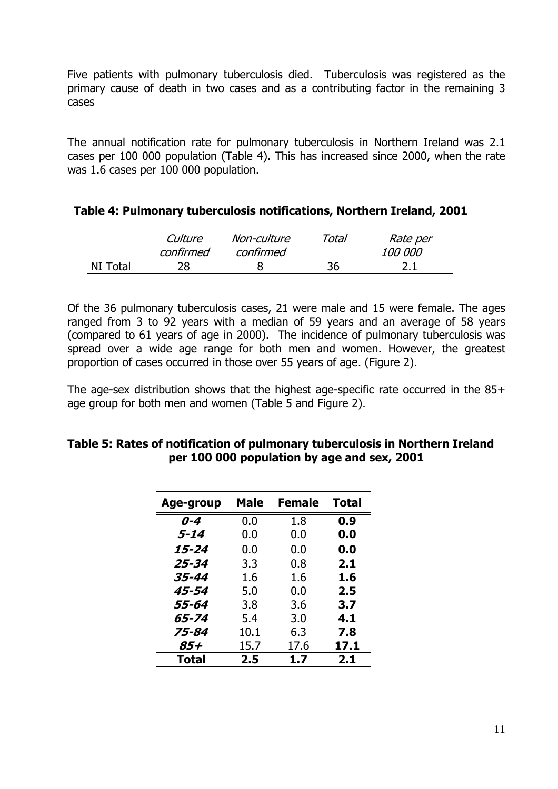Five patients with pulmonary tuberculosis died. Tuberculosis was registered as the primary cause of death in two cases and as a contributing factor in the remaining 3 cases

The annual notification rate for pulmonary tuberculosis in Northern Ireland was 2.1 cases per 100 000 population (Table 4). This has increased since 2000, when the rate was 1.6 cases per 100 000 population.

|          | Culture<br>confirmed | Non-culture<br>confirmed | Total | Rate per<br><i>100 000</i> |
|----------|----------------------|--------------------------|-------|----------------------------|
| NI Total | 28.                  |                          | 36    |                            |

#### **Table 4: Pulmonary tuberculosis notifications, Northern Ireland, 2001**

Of the 36 pulmonary tuberculosis cases, 21 were male and 15 were female. The ages ranged from 3 to 92 years with a median of 59 years and an average of 58 years (compared to 61 years of age in 2000). The incidence of pulmonary tuberculosis was spread over a wide age range for both men and women. However, the greatest proportion of cases occurred in those over 55 years of age. (Figure 2).

The age-sex distribution shows that the highest age-specific rate occurred in the 85+ age group for both men and women (Table 5 and Figure 2).

| Age-group | Male | <b>Female</b> | <b>Total</b> |
|-----------|------|---------------|--------------|
| $0 - 4$   | 0.0  | 1.8           | 0.9          |
| 5-14      | 0.0  | 0.0           | 0.0          |
| 15-24     | 0.0  | 0.0           | 0.0          |
| 25-34     | 3.3  | 0.8           | 2.1          |
| 35-44     | 1.6  | 1.6           | 1.6          |
| 45-54     | 5.0  | 0.0           | 2.5          |
| 55-64     | 3.8  | 3.6           | 3.7          |
| 65-74     | 5.4  | 3.0           | 4.1          |
| 75-84     | 10.1 | 6.3           | 7.8          |
| 85+       | 15.7 | 17.6          | 17.1         |
| Total     | 2.5  | 1.7           | 2.1          |

## **Table 5: Rates of notification of pulmonary tuberculosis in Northern Ireland per 100 000 population by age and sex, 2001**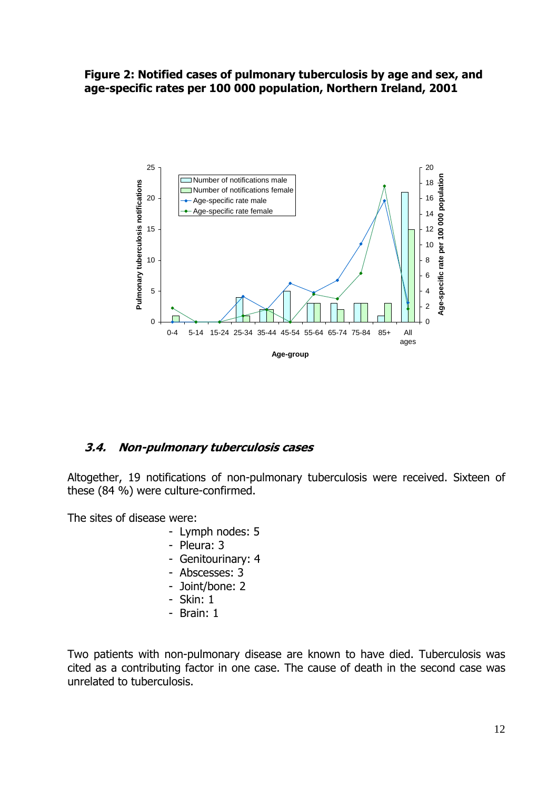#### **Figure 2: Notified cases of pulmonary tuberculosis by age and sex, and age-specific rates per 100 000 population, Northern Ireland, 2001**



#### **3.4. Non-pulmonary tuberculosis cases**

Altogether, 19 notifications of non-pulmonary tuberculosis were received. Sixteen of these (84 %) were culture-confirmed.

The sites of disease were:

- Lymph nodes: 5
- Pleura: 3
- Genitourinary: 4
- Abscesses: 3
- Joint/bone: 2
- Skin: 1
- Brain: 1

Two patients with non-pulmonary disease are known to have died. Tuberculosis was cited as a contributing factor in one case. The cause of death in the second case was unrelated to tuberculosis.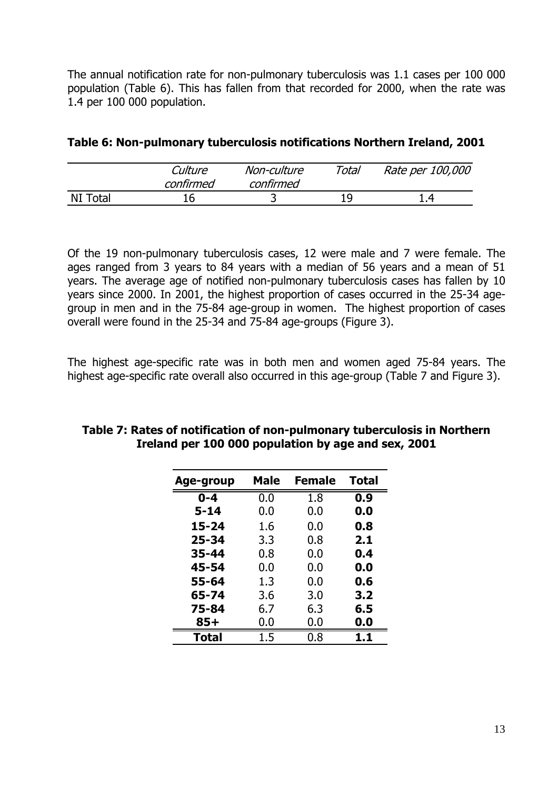The annual notification rate for non-pulmonary tuberculosis was 1.1 cases per 100 000 population (Table 6). This has fallen from that recorded for 2000, when the rate was 1.4 per 100 000 population.

|          | Culture<br>confirmed | Non-culture<br>confirmed | Total | Rate per 100,000 |
|----------|----------------------|--------------------------|-------|------------------|
| NI Total | 16                   |                          | 19    | 14               |

#### **Table 6: Non-pulmonary tuberculosis notifications Northern Ireland, 2001**

Of the 19 non-pulmonary tuberculosis cases, 12 were male and 7 were female. The ages ranged from 3 years to 84 years with a median of 56 years and a mean of 51 years. The average age of notified non-pulmonary tuberculosis cases has fallen by 10 years since 2000. In 2001, the highest proportion of cases occurred in the 25-34 agegroup in men and in the 75-84 age-group in women. The highest proportion of cases overall were found in the 25-34 and 75-84 age-groups (Figure 3).

The highest age-specific rate was in both men and women aged 75-84 years. The highest age-specific rate overall also occurred in this age-group (Table 7 and Figure 3).

| Age-group | Male | <b>Female</b> | Total            |
|-----------|------|---------------|------------------|
| $0 - 4$   | 0.0  | 1.8           | $0.\overline{9}$ |
| $5 - 14$  | 0.0  | 0.0           | 0.0              |
| $15 - 24$ | 1.6  | 0.0           | 0.8              |
| $25 - 34$ | 3.3  | 0.8           | 2.1              |
| $35 - 44$ | 0.8  | 0.0           | 0.4              |
| 45-54     | 0.0  | 0.0           | 0.0              |
| 55-64     | 1.3  | 0.0           | 0.6              |
| 65-74     | 3.6  | 3.0           | 3.2              |
| 75-84     | 6.7  | 6.3           | 6.5              |
| $85+$     | 0.0  | 0.0           | 0.0              |
| Total     | 1.5  | 0.8           | 1.1              |

#### **Table 7: Rates of notification of non-pulmonary tuberculosis in Northern Ireland per 100 000 population by age and sex, 2001**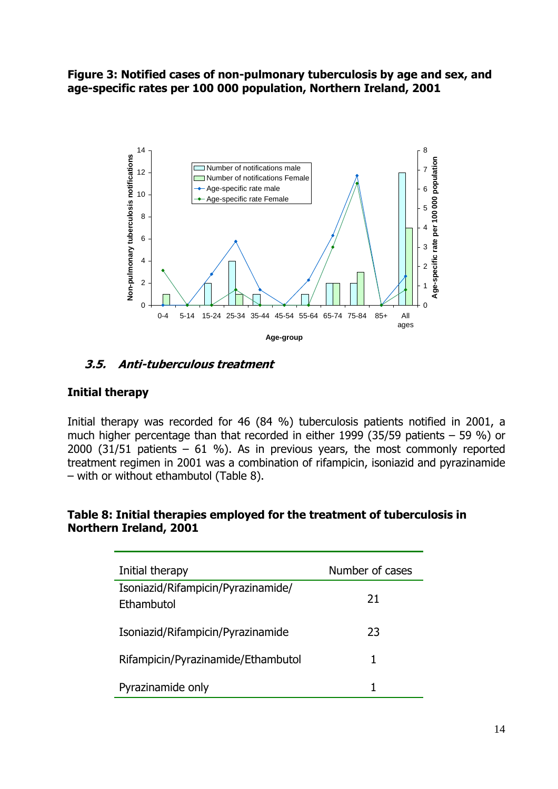**Figure 3: Notified cases of non-pulmonary tuberculosis by age and sex, and age-specific rates per 100 000 population, Northern Ireland, 2001**



## **3.5. Anti-tuberculous treatment**

## **Initial therapy**

Initial therapy was recorded for 46 (84 %) tuberculosis patients notified in 2001, a much higher percentage than that recorded in either 1999 (35/59 patients – 59 %) or 2000 (31/51 patients  $-61$  %). As in previous years, the most commonly reported treatment regimen in 2001 was a combination of rifampicin, isoniazid and pyrazinamide – with or without ethambutol (Table 8).

#### **Table 8: Initial therapies employed for the treatment of tuberculosis in Northern Ireland, 2001**

| Initial therapy                                  | Number of cases |
|--------------------------------------------------|-----------------|
| Isoniazid/Rifampicin/Pyrazinamide/<br>Ethambutol | 21              |
| Isoniazid/Rifampicin/Pyrazinamide                | 23              |
| Rifampicin/Pyrazinamide/Ethambutol               | 1               |
| Pyrazinamide only                                |                 |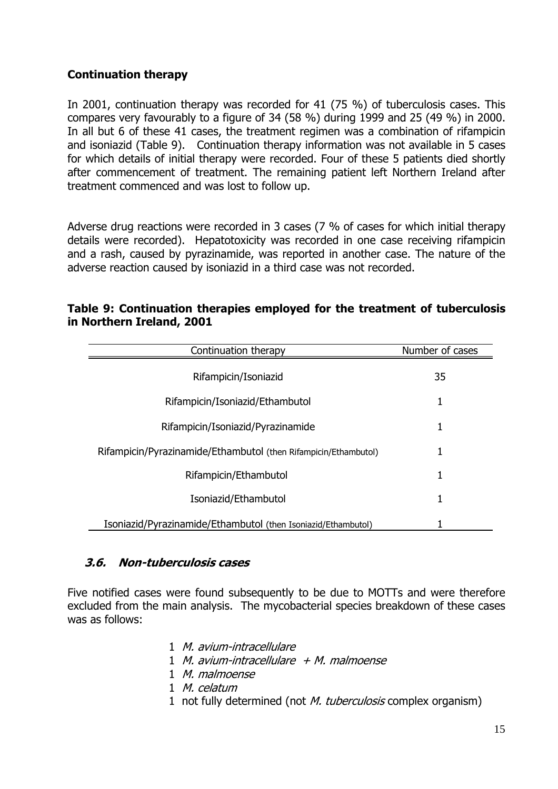## **Continuation therapy**

In 2001, continuation therapy was recorded for 41 (75 %) of tuberculosis cases. This compares very favourably to a figure of 34 (58 %) during 1999 and 25 (49 %) in 2000. In all but 6 of these 41 cases, the treatment regimen was a combination of rifampicin and isoniazid (Table 9). Continuation therapy information was not available in 5 cases for which details of initial therapy were recorded. Four of these 5 patients died shortly after commencement of treatment. The remaining patient left Northern Ireland after treatment commenced and was lost to follow up.

Adverse drug reactions were recorded in 3 cases (7 % of cases for which initial therapy details were recorded). Hepatotoxicity was recorded in one case receiving rifampicin and a rash, caused by pyrazinamide, was reported in another case. The nature of the adverse reaction caused by isoniazid in a third case was not recorded.

| Table 9: Continuation therapies employed for the treatment of tuberculosis |  |  |  |
|----------------------------------------------------------------------------|--|--|--|
| in Northern Ireland, 2001                                                  |  |  |  |

| Continuation therapy                                            | Number of cases |
|-----------------------------------------------------------------|-----------------|
| Rifampicin/Isoniazid                                            | 35              |
| Rifampicin/Isoniazid/Ethambutol                                 | 1               |
| Rifampicin/Isoniazid/Pyrazinamide                               | 1               |
| Rifampicin/Pyrazinamide/Ethambutol (then Rifampicin/Ethambutol) |                 |
| Rifampicin/Ethambutol                                           | 1               |
| Isoniazid/Ethambutol                                            | 1               |
| Isoniazid/Pyrazinamide/Ethambutol (then Isoniazid/Ethambutol)   |                 |

## **3.6. Non-tuberculosis cases**

Five notified cases were found subsequently to be due to MOTTs and were therefore excluded from the main analysis. The mycobacterial species breakdown of these cases was as follows:

- 1 M. avium-intracellulare
- 1 *M. avium-intracellulare + M. malmoense*
- 1 M. malmoense
- 1 M. celatum
- 1 not fully determined (not *M. tuberculosis* complex organism)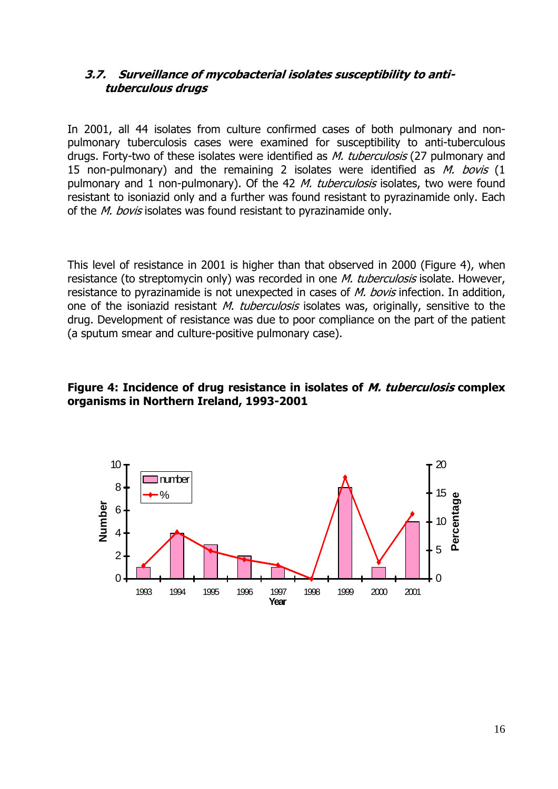## **3.7. Surveillance of mycobacterial isolates susceptibility to antituberculous drugs**

In 2001, all 44 isolates from culture confirmed cases of both pulmonary and nonpulmonary tuberculosis cases were examined for susceptibility to anti-tuberculous drugs. Forty-two of these isolates were identified as M. tuberculosis (27 pulmonary and 15 non-pulmonary) and the remaining 2 isolates were identified as  $M.$  bovis (1 pulmonary and 1 non-pulmonary). Of the 42 *M. tuberculosis* isolates, two were found resistant to isoniazid only and a further was found resistant to pyrazinamide only. Each of the *M. bovis* isolates was found resistant to pyrazinamide only.

This level of resistance in 2001 is higher than that observed in 2000 (Figure 4), when resistance (to streptomycin only) was recorded in one *M. tuberculosis* isolate. However, resistance to pyrazinamide is not unexpected in cases of *M. bovis* infection. In addition, one of the isoniazid resistant *M. tuberculosis* isolates was, originally, sensitive to the drug. Development of resistance was due to poor compliance on the part of the patient (a sputum smear and culture-positive pulmonary case).

#### **Figure 4: Incidence of drug resistance in isolates of M. tuberculosis complex organisms in Northern Ireland, 1993-2001**

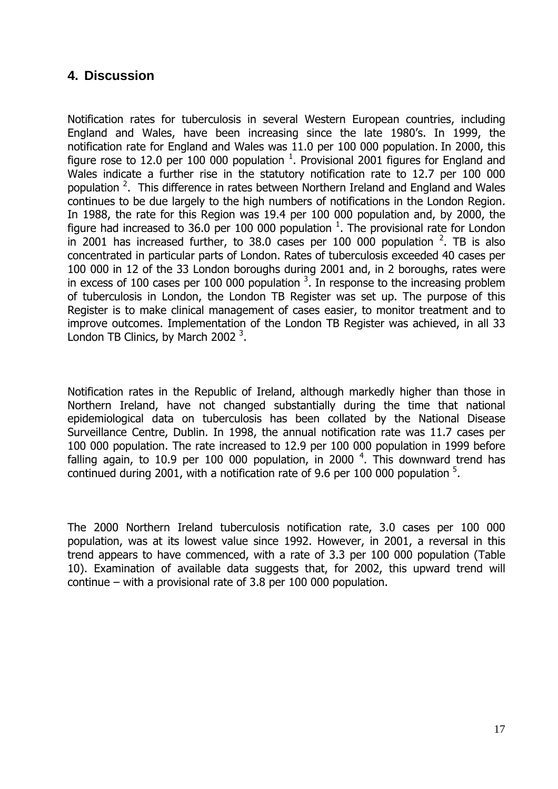## **4. Discussion**

Notification rates for tuberculosis in several Western European countries, including England and Wales, have been increasing since the late 1980's. In 1999, the notification rate for England and Wales was 11.0 per 100 000 population. In 2000, this figure rose to 12.0 per 100 000 population  $^1$ . Provisional 2001 figures for England and Wales indicate a further rise in the statutory notification rate to 12.7 per 100 000 population <sup>2</sup>. This difference in rates between Northern Ireland and England and Wales continues to be due largely to the high numbers of notifications in the London Region. In 1988, the rate for this Region was 19.4 per 100 000 population and, by 2000, the figure had increased to 36.0 per 100 000 population  $^1$ . The provisional rate for London in 2001 has increased further, to 38.0 cases per 100 000 population  $2$ . TB is also concentrated in particular parts of London. Rates of tuberculosis exceeded 40 cases per 100 000 in 12 of the 33 London boroughs during 2001 and, in 2 boroughs, rates were in excess of 100 cases per 100 000 population  $3$ . In response to the increasing problem of tuberculosis in London, the London TB Register was set up. The purpose of this Register is to make clinical management of cases easier, to monitor treatment and to improve outcomes. Implementation of the London TB Register was achieved, in all 33 London TB Clinics, by March 2002 $3$ .

Notification rates in the Republic of Ireland, although markedly higher than those in Northern Ireland, have not changed substantially during the time that national epidemiological data on tuberculosis has been collated by the National Disease Surveillance Centre, Dublin. In 1998, the annual notification rate was 11.7 cases per 100 000 population. The rate increased to 12.9 per 100 000 population in 1999 before falling again, to 10.9 per 100 000 population, in 2000<sup>4</sup>. This downward trend has continued during 2001, with a notification rate of 9.6 per 100 000 population  $5$ .

The 2000 Northern Ireland tuberculosis notification rate, 3.0 cases per 100 000 population, was at its lowest value since 1992. However, in 2001, a reversal in this trend appears to have commenced, with a rate of 3.3 per 100 000 population (Table 10). Examination of available data suggests that, for 2002, this upward trend will continue – with a provisional rate of 3.8 per 100 000 population.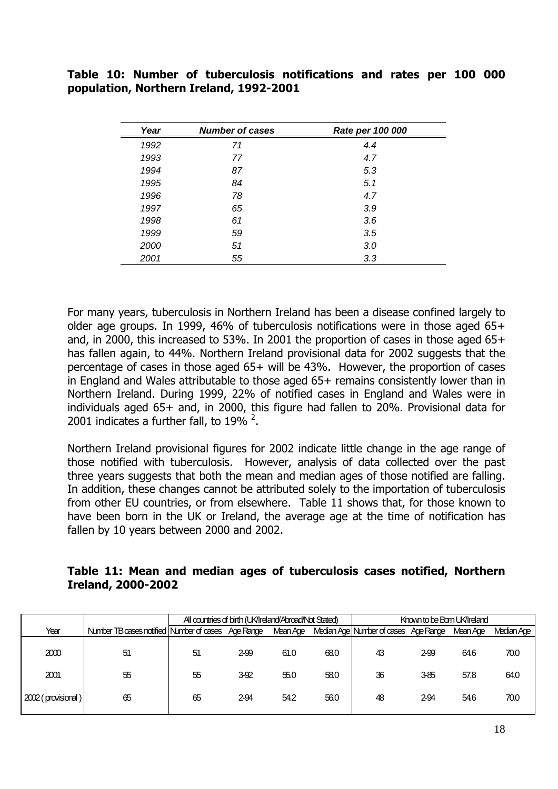**Table 10: Number of tuberculosis notifications and rates per 100 000 population, Northern Ireland, 1992-2001** 

| Year | <b>Number of cases</b> | Rate per 100 000 |  |
|------|------------------------|------------------|--|
| 1992 | 71                     | 4.4              |  |
| 1993 | 77                     | 4.7              |  |
| 1994 | 87                     | 5.3              |  |
| 1995 | 84                     | 5.1              |  |
| 1996 | 78                     | 4.7              |  |
| 1997 | 65                     | 3.9              |  |
| 1998 | 61                     | 3.6              |  |
| 1999 | 59                     | 3.5              |  |
| 2000 | 51                     | 3.0              |  |
| 2001 | 55                     | 3.3              |  |
|      |                        |                  |  |

For many years, tuberculosis in Northern Ireland has been a disease confined largely to older age groups. In 1999, 46% of tuberculosis notifications were in those aged 65+ and, in 2000, this increased to 53%. In 2001 the proportion of cases in those aged 65+ has fallen again, to 44%. Northern Ireland provisional data for 2002 suggests that the percentage of cases in those aged 65+ will be 43%. However, the proportion of cases in England and Wales attributable to those aged 65+ remains consistently lower than in Northern Ireland. During 1999, 22% of notified cases in England and Wales were in individuals aged 65+ and, in 2000, this figure had fallen to 20%. Provisional data for 2001 indicates a further fall, to  $19\%$   $^{2}$ .

Northern Ireland provisional figures for 2002 indicate little change in the age range of those notified with tuberculosis. However, analysis of data collected over the past three years suggests that both the mean and median ages of those notified are falling. In addition, these changes cannot be attributed solely to the importation of tuberculosis from other EU countries, or from elsewhere. Table 11 shows that, for those known to have been born in the UK or Ireland, the average age at the time of notification has fallen by 10 years between 2000 and 2002.

## **Table 11: Mean and median ages of tuberculosis cases notified, Northern Ireland, 2000-2002**

|                    |                                                      | All countries of birth (UK/Ireland/Abroad/Not Stated) |      |      | Known to be Born UK/Ireland |                                                 |      |          |            |
|--------------------|------------------------------------------------------|-------------------------------------------------------|------|------|-----------------------------|-------------------------------------------------|------|----------|------------|
| Year               | Number TB cases notified   Number of cases Age Range |                                                       |      |      |                             | Mean Age Median Age   Number of cases Age Range |      | Mean Age | Median Age |
| 2000               | 51                                                   | 51                                                    | 2-99 | 61.0 | 68.0                        | 43                                              | 2-99 | 64.6     | 70.0       |
| 2001               | 55                                                   | 55                                                    | 3.92 | 55.0 | 58.0                        | 36                                              | 3-85 | 57.8     | 64.0       |
| 2002 (provisional) | 65                                                   | 65                                                    | 2-94 | 54.2 | 56.0                        | 48                                              | 2-94 | 54.6     | 70.0       |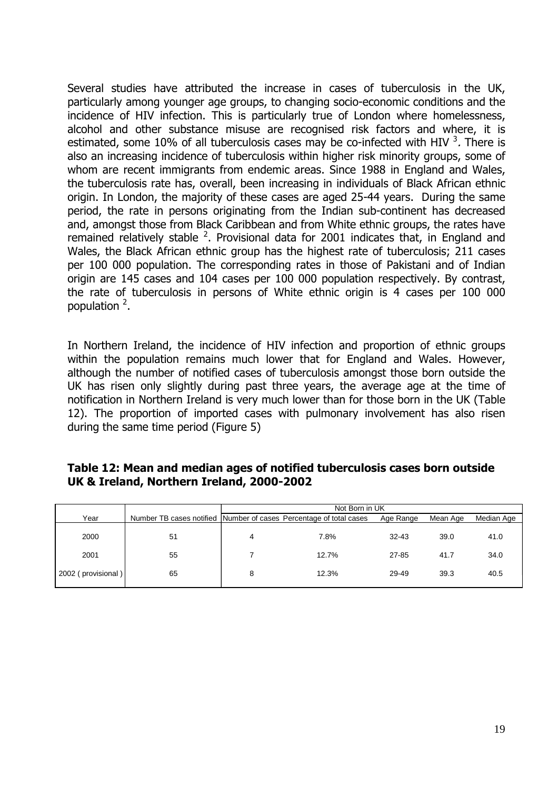Several studies have attributed the increase in cases of tuberculosis in the UK, particularly among younger age groups, to changing socio-economic conditions and the incidence of HIV infection. This is particularly true of London where homelessness, alcohol and other substance misuse are recognised risk factors and where, it is estimated, some 10% of all tuberculosis cases may be co-infected with HIV  $^3$ . There is also an increasing incidence of tuberculosis within higher risk minority groups, some of whom are recent immigrants from endemic areas. Since 1988 in England and Wales, the tuberculosis rate has, overall, been increasing in individuals of Black African ethnic origin. In London, the majority of these cases are aged 25-44 years. During the same period, the rate in persons originating from the Indian sub-continent has decreased and, amongst those from Black Caribbean and from White ethnic groups, the rates have remained relatively stable  $2$ . Provisional data for 2001 indicates that, in England and Wales, the Black African ethnic group has the highest rate of tuberculosis; 211 cases per 100 000 population. The corresponding rates in those of Pakistani and of Indian origin are 145 cases and 104 cases per 100 000 population respectively. By contrast, the rate of tuberculosis in persons of White ethnic origin is 4 cases per 100 000 population <sup>2</sup>.

In Northern Ireland, the incidence of HIV infection and proportion of ethnic groups within the population remains much lower that for England and Wales. However, although the number of notified cases of tuberculosis amongst those born outside the UK has risen only slightly during past three years, the average age at the time of notification in Northern Ireland is very much lower than for those born in the UK (Table 12). The proportion of imported cases with pulmonary involvement has also risen during the same time period (Figure 5)

## **Table 12: Mean and median ages of notified tuberculosis cases born outside UK & Ireland, Northern Ireland, 2000-2002**

|                    |                          | Not Born in UK |                                           |           |          |            |  |  |  |  |
|--------------------|--------------------------|----------------|-------------------------------------------|-----------|----------|------------|--|--|--|--|
| Year               | Number TB cases notified |                | Number of cases Percentage of total cases | Age Range | Mean Age | Median Age |  |  |  |  |
| 2000               | 51                       | 4              | 7.8%                                      | $32 - 43$ | 39.0     | 41.0       |  |  |  |  |
| 2001               | 55                       |                | 12.7%                                     | $27 - 85$ | 41.7     | 34.0       |  |  |  |  |
| 2002 (provisional) | 65                       | 8              | 12.3%                                     | 29-49     | 39.3     | 40.5       |  |  |  |  |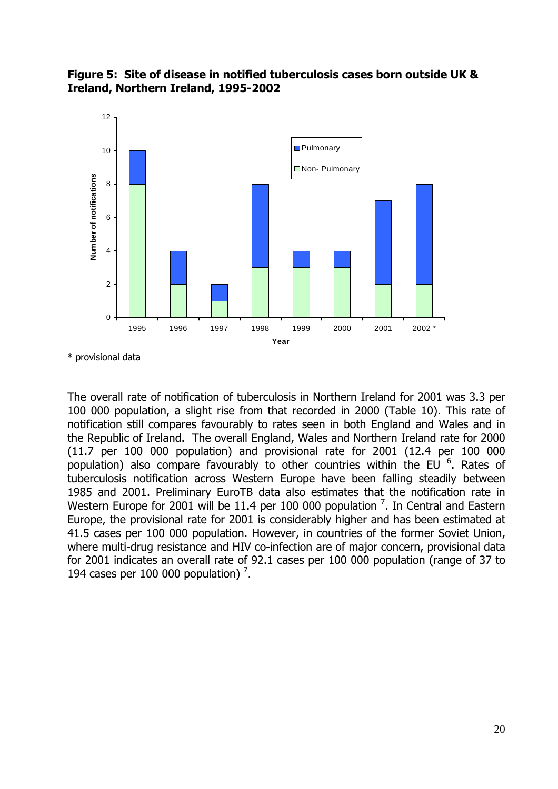



<sup>\*</sup> provisional data

The overall rate of notification of tuberculosis in Northern Ireland for 2001 was 3.3 per 100 000 population, a slight rise from that recorded in 2000 (Table 10). This rate of notification still compares favourably to rates seen in both England and Wales and in the Republic of Ireland. The overall England, Wales and Northern Ireland rate for 2000 (11.7 per 100 000 population) and provisional rate for 2001 (12.4 per 100 000 population) also compare favourably to other countries within the EU <sup>6</sup>. Rates of tuberculosis notification across Western Europe have been falling steadily between 1985 and 2001. Preliminary EuroTB data also estimates that the notification rate in Western Europe for 2001 will be 11.4 per 100 000 population  $\frac{7}{1}$ . In Central and Eastern Europe, the provisional rate for 2001 is considerably higher and has been estimated at 41.5 cases per 100 000 population. However, in countries of the former Soviet Union, where multi-drug resistance and HIV co-infection are of major concern, provisional data for 2001 indicates an overall rate of 92.1 cases per 100 000 population (range of 37 to 194 cases per 100 000 population) $<sup>7</sup>$ .</sup>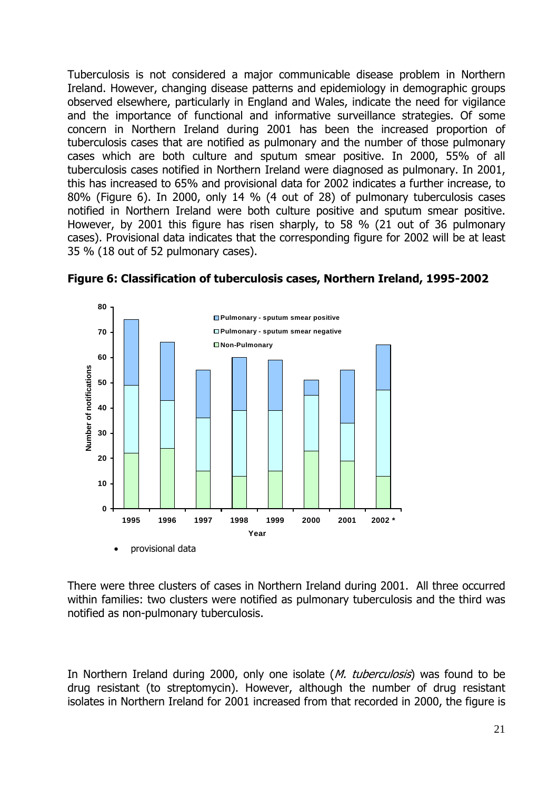Tuberculosis is not considered a major communicable disease problem in Northern Ireland. However, changing disease patterns and epidemiology in demographic groups observed elsewhere, particularly in England and Wales, indicate the need for vigilance and the importance of functional and informative surveillance strategies. Of some concern in Northern Ireland during 2001 has been the increased proportion of tuberculosis cases that are notified as pulmonary and the number of those pulmonary cases which are both culture and sputum smear positive. In 2000, 55% of all tuberculosis cases notified in Northern Ireland were diagnosed as pulmonary. In 2001, this has increased to 65% and provisional data for 2002 indicates a further increase, to 80% (Figure 6). In 2000, only 14 % (4 out of 28) of pulmonary tuberculosis cases notified in Northern Ireland were both culture positive and sputum smear positive. However, by 2001 this figure has risen sharply, to 58 % (21 out of 36 pulmonary cases). Provisional data indicates that the corresponding figure for 2002 will be at least 35 % (18 out of 52 pulmonary cases).



**Figure 6: Classification of tuberculosis cases, Northern Ireland, 1995-2002**

There were three clusters of cases in Northern Ireland during 2001. All three occurred within families: two clusters were notified as pulmonary tuberculosis and the third was notified as non-pulmonary tuberculosis.

In Northern Ireland during 2000, only one isolate (*M. tuberculosis*) was found to be drug resistant (to streptomycin). However, although the number of drug resistant isolates in Northern Ireland for 2001 increased from that recorded in 2000, the figure is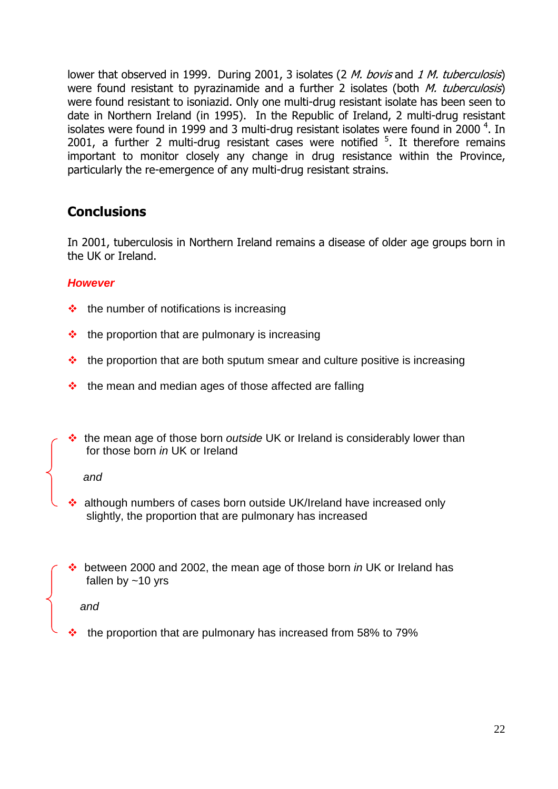lower that observed in 1999. During 2001, 3 isolates (2 M. bovis and 1 M. tuberculosis) were found resistant to pyrazinamide and a further 2 isolates (both *M. tuberculosis*) were found resistant to isoniazid. Only one multi-drug resistant isolate has been seen to date in Northern Ireland (in 1995). In the Republic of Ireland, 2 multi-drug resistant isolates were found in 1999 and 3 multi-drug resistant isolates were found in 2000<sup>4</sup>. In 2001, a further 2 multi-drug resistant cases were notified  $5$ . It therefore remains important to monitor closely any change in drug resistance within the Province, particularly the re-emergence of any multi-drug resistant strains.

# **Conclusions**

In 2001, tuberculosis in Northern Ireland remains a disease of older age groups born in the UK or Ireland.

#### *However*

- $\cdot \cdot$  the number of notifications is increasing
- $\cdot \cdot$  the proportion that are pulmonary is increasing
- $\cdot \cdot$  the proportion that are both sputum smear and culture positive is increasing
- $\cdot \cdot$  the mean and median ages of those affected are falling
- the mean age of those born *outside* UK or Ireland is considerably lower than for those born *in* UK or Ireland

*and* 

- although numbers of cases born outside UK/Ireland have increased only slightly, the proportion that are pulmonary has increased
- between 2000 and 2002, the mean age of those born *in* UK or Ireland has fallen by ~10 yrs

 *and*

the proportion that are pulmonary has increased from 58% to 79%